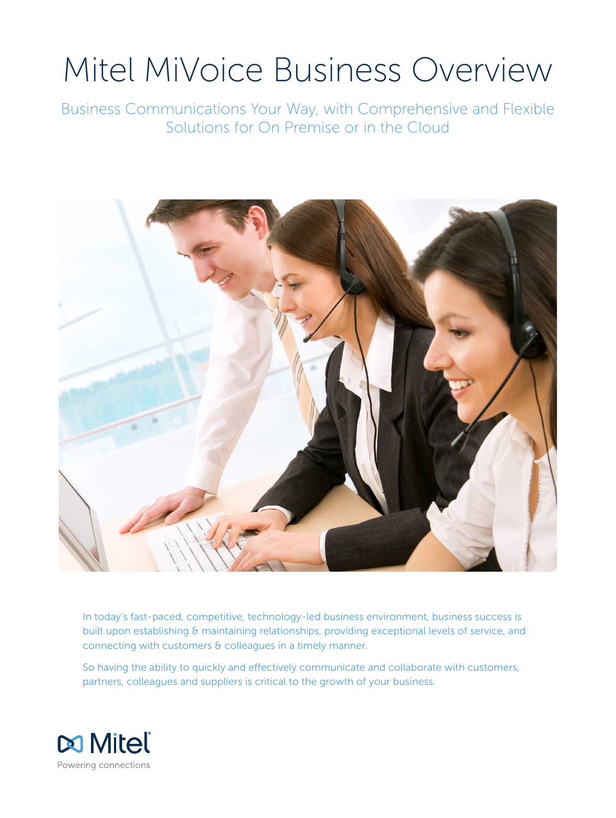# Mitel MiVoice Business Overview

Business Communications Your Way, with Comprehensive and Flexible Solutions for On Premise or in the Cloud



In today's fast-paced, competitive, technology-led business environment, business success is built upon establishing & maintaining relationships, providing exceptional levels of service, and connecting with customers & colleagues in a timely manner.

So having the ability to quickly and effectively communicate and collaborate with customers, partners, colleagues and suppliers is critical to the growth of your business.

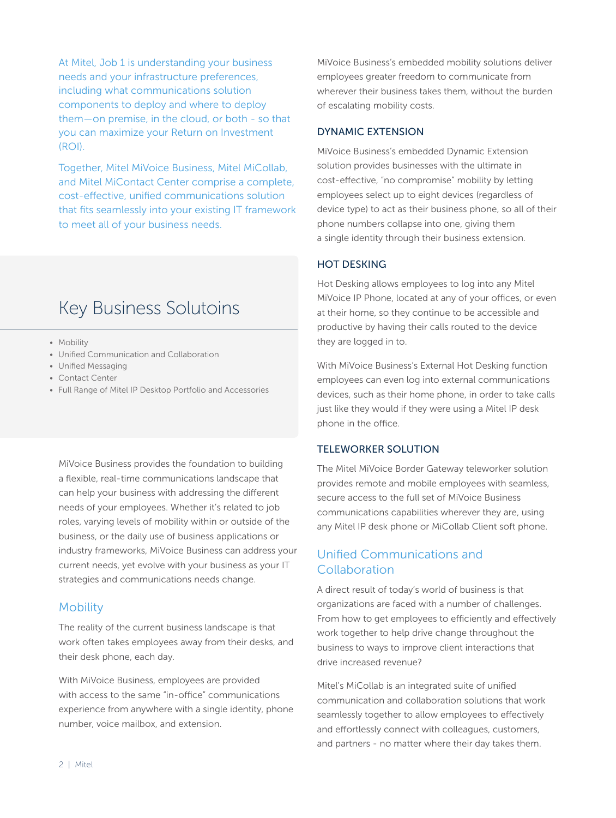At Mitel, Job 1 is understanding your business needs and your infrastructure preferences, including what communications solution components to deploy and where to deploy them—on premise, in the cloud, or both - so that you can maximize your Return on Investment (ROI).

Together, Mitel MiVoice Business, Mitel MiCollab, and Mitel MiContact Center comprise a complete, cost-effective, unified communications solution that fits seamlessly into your existing IT framework to meet all of your business needs.

# Key Business Solutoins

- Mobility
- Unified Communication and Collaboration
- Unified Messaging
- Contact Center
- Full Range of Mitel IP Desktop Portfolio and Accessories

MiVoice Business provides the foundation to building a flexible, real-time communications landscape that can help your business with addressing the different needs of your employees. Whether it's related to job roles, varying levels of mobility within or outside of the business, or the daily use of business applications or industry frameworks, MiVoice Business can address your current needs, yet evolve with your business as your IT strategies and communications needs change.

#### **Mobility**

The reality of the current business landscape is that work often takes employees away from their desks, and their desk phone, each day.

With MiVoice Business, employees are provided with access to the same "in-office" communications experience from anywhere with a single identity, phone number, voice mailbox, and extension.

MiVoice Business's embedded mobility solutions deliver employees greater freedom to communicate from wherever their business takes them, without the burden of escalating mobility costs.

#### DYNAMIC EXTENSION

MiVoice Business's embedded Dynamic Extension solution provides businesses with the ultimate in cost-effective, "no compromise" mobility by letting employees select up to eight devices (regardless of device type) to act as their business phone, so all of their phone numbers collapse into one, giving them a single identity through their business extension.

#### HOT DESKING

Hot Desking allows employees to log into any Mitel MiVoice IP Phone, located at any of your offices, or even at their home, so they continue to be accessible and productive by having their calls routed to the device they are logged in to.

With MiVoice Business's External Hot Desking function employees can even log into external communications devices, such as their home phone, in order to take calls just like they would if they were using a Mitel IP desk phone in the office.

#### TELEWORKER SOLUTION

The Mitel MiVoice Border Gateway teleworker solution provides remote and mobile employees with seamless, secure access to the full set of MiVoice Business communications capabilities wherever they are, using any Mitel IP desk phone or MiCollab Client soft phone.

# Unified Communications and Collaboration

A direct result of today's world of business is that organizations are faced with a number of challenges. From how to get employees to efficiently and effectively work together to help drive change throughout the business to ways to improve client interactions that drive increased revenue?

Mitel's MiCollab is an integrated suite of unified communication and collaboration solutions that work seamlessly together to allow employees to effectively and effortlessly connect with colleagues, customers, and partners - no matter where their day takes them.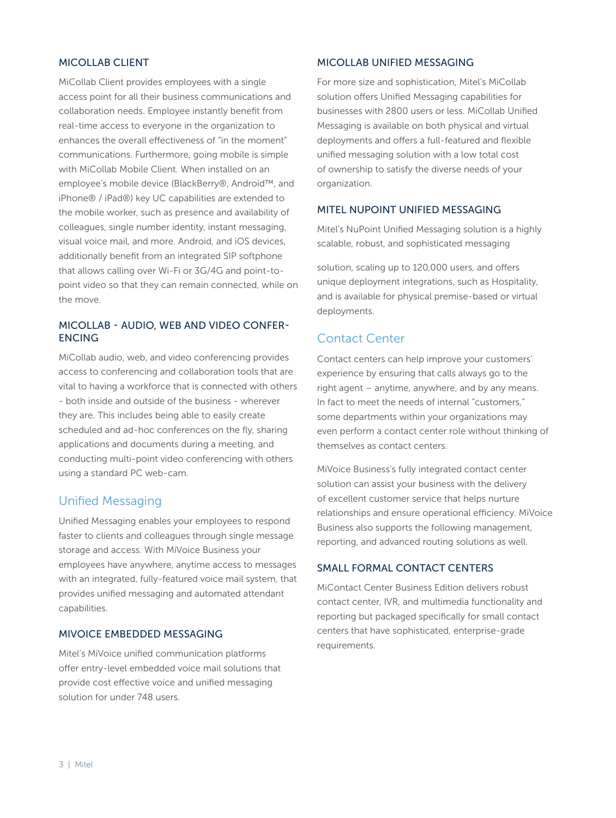#### MICOLLAB CLIENT

MiCollab Client provides employees with a single access point for all their business communications and collaboration needs. Employee instantly benefit from real-time access to everyone in the organization to enhances the overall effectiveness of "in the moment" communications. Furthermore, going mobile is simple with MiCollab Mobile Client. When installed on an employee's mobile device (BlackBerry®, Android™, and iPhone® / iPad®) key UC capabilities are extended to the mobile worker, such as presence and availability of colleagues, single number identity, instant messaging, visual voice mail, and more. Android, and iOS devices, additionally benefit from an integrated SIP softphone that allows calling over Wi-Fi or 3G/4G and point-topoint video so that they can remain connected, while on the move.

#### MICOLLAB - AUDIO, WEB AND VIDEO CONFER-ENCING

MiCollab audio, web, and video conferencing provides access to conferencing and collaboration tools that are vital to having a workforce that is connected with others - both inside and outside of the business - wherever they are. This includes being able to easily create scheduled and ad-hoc conferences on the fly, sharing applications and documents during a meeting, and conducting multi-point video conferencing with others using a standard PC web-cam.

## Unified Messaging

Unified Messaging enables your employees to respond faster to clients and colleagues through single message storage and access. With MiVoice Business your employees have anywhere, anytime access to messages with an integrated, fully-featured voice mail system, that provides unified messaging and automated attendant capabilities.

#### MIVOICE EMBEDDED MESSAGING

Mitel's MiVoice unified communication platforms offer entry-level embedded voice mail solutions that provide cost effective voice and unified messaging solution for under 748 users.

#### MICOLLAB UNIFIED MESSAGING

For more size and sophistication, Mitel's MiCollab solution offers Unified Messaging capabilities for businesses with 2800 users or less. MiCollab Unified Messaging is available on both physical and virtual deployments and offers a full-featured and flexible unified messaging solution with a low total cost of ownership to satisfy the diverse needs of your organization.

#### MITEL NUPOINT UNIFIED MESSAGING

Mitel's NuPoint Unified Messaging solution is a highly scalable, robust, and sophisticated messaging

solution, scaling up to 120,000 users, and offers unique deployment integrations, such as Hospitality, and is available for physical premise-based or virtual deployments.

# Contact Center

Contact centers can help improve your customers' experience by ensuring that calls always go to the right agent – anytime, anywhere, and by any means. In fact to meet the needs of internal "customers," some departments within your organizations may even perform a contact center role without thinking of themselves as contact centers.

MiVoice Business's fully integrated contact center solution can assist your business with the delivery of excellent customer service that helps nurture relationships and ensure operational efficiency. MiVoice Business also supports the following management, reporting, and advanced routing solutions as well.

#### SMALL FORMAL CONTACT CENTERS

MiContact Center Business Edition delivers robust contact center, IVR, and multimedia functionality and reporting but packaged specifically for small contact centers that have sophisticated, enterprise-grade requirements.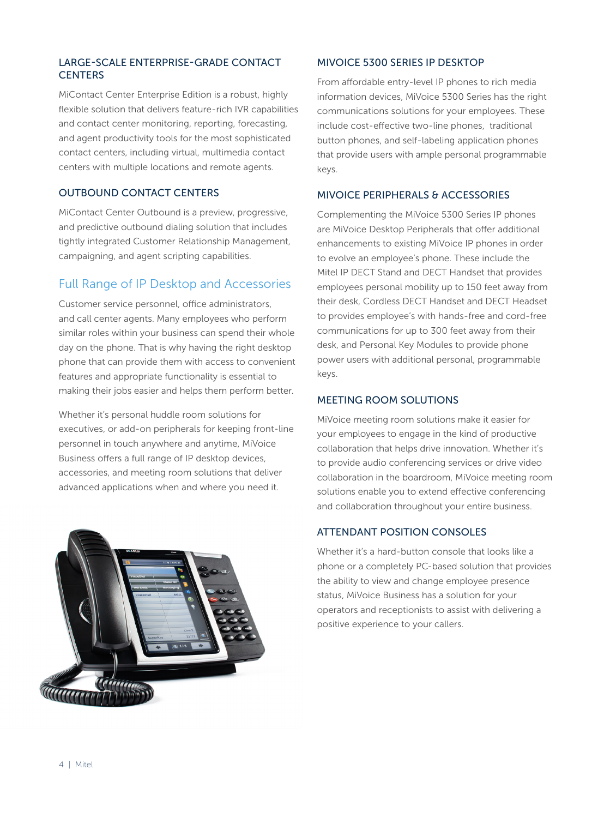#### LARGE-SCALE ENTERPRISE-GRADE CONTACT **CENTERS**

MiContact Center Enterprise Edition is a robust, highly flexible solution that delivers feature-rich IVR capabilities and contact center monitoring, reporting, forecasting, and agent productivity tools for the most sophisticated contact centers, including virtual, multimedia contact centers with multiple locations and remote agents.

#### OUTBOUND CONTACT CENTERS

MiContact Center Outbound is a preview, progressive, and predictive outbound dialing solution that includes tightly integrated Customer Relationship Management, campaigning, and agent scripting capabilities.

# Full Range of IP Desktop and Accessories

Customer service personnel, office administrators, and call center agents. Many employees who perform similar roles within your business can spend their whole day on the phone. That is why having the right desktop phone that can provide them with access to convenient features and appropriate functionality is essential to making their jobs easier and helps them perform better.

Whether it's personal huddle room solutions for executives, or add-on peripherals for keeping front-line personnel in touch anywhere and anytime, MiVoice Business offers a full range of IP desktop devices, accessories, and meeting room solutions that deliver advanced applications when and where you need it.



#### MIVOICE 5300 SERIES IP DESKTOP

From affordable entry-level IP phones to rich media information devices, MiVoice 5300 Series has the right communications solutions for your employees. These include cost-effective two-line phones, traditional button phones, and self-labeling application phones that provide users with ample personal programmable keys.

#### MIVOICE PERIPHERALS & ACCESSORIES

Complementing the MiVoice 5300 Series IP phones are MiVoice Desktop Peripherals that offer additional enhancements to existing MiVoice IP phones in order to evolve an employee's phone. These include the Mitel IP DECT Stand and DECT Handset that provides employees personal mobility up to 150 feet away from their desk, Cordless DECT Handset and DECT Headset to provides employee's with hands-free and cord-free communications for up to 300 feet away from their desk, and Personal Key Modules to provide phone power users with additional personal, programmable keys.

#### MEETING ROOM SOLUTIONS

MiVoice meeting room solutions make it easier for your employees to engage in the kind of productive collaboration that helps drive innovation. Whether it's to provide audio conferencing services or drive video collaboration in the boardroom, MiVoice meeting room solutions enable you to extend effective conferencing and collaboration throughout your entire business.

#### ATTENDANT POSITION CONSOLES

Whether it's a hard-button console that looks like a phone or a completely PC-based solution that provides the ability to view and change employee presence status, MiVoice Business has a solution for your operators and receptionists to assist with delivering a positive experience to your callers.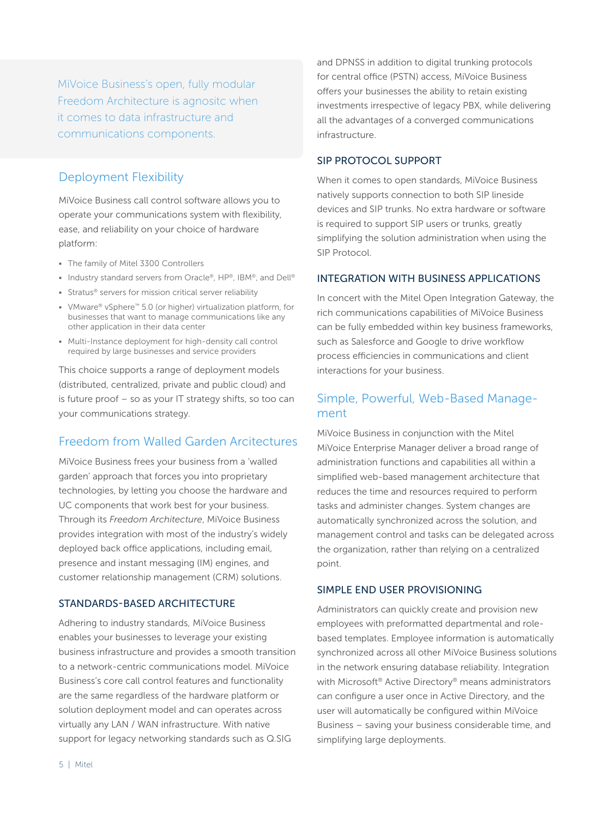MiVoice Business's open, fully modular Freedom Architecture is agnositc when it comes to data infrastructure and communications components.

# Deployment Flexibility

MiVoice Business call control software allows you to operate your communications system with flexibility, ease, and reliability on your choice of hardware platform:

- The family of Mitel 3300 Controllers
- Industry standard servers from Oracle®, HP®, IBM®, and Dell®
- Stratus<sup>®</sup> servers for mission critical server reliability
- VMware® vSphere™ 5.0 (or higher) virtualization platform, for businesses that want to manage communications like any other application in their data center
- Multi-Instance deployment for high-density call control required by large businesses and service providers

This choice supports a range of deployment models (distributed, centralized, private and public cloud) and is future proof – so as your IT strategy shifts, so too can your communications strategy.

# Freedom from Walled Garden Arcitectures

MiVoice Business frees your business from a 'walled garden' approach that forces you into proprietary technologies, by letting you choose the hardware and UC components that work best for your business. Through its *Freedom Architecture*, MiVoice Business provides integration with most of the industry's widely deployed back office applications, including email, presence and instant messaging (IM) engines, and customer relationship management (CRM) solutions.

#### STANDARDS-BASED ARCHITECTURE

Adhering to industry standards, MiVoice Business enables your businesses to leverage your existing business infrastructure and provides a smooth transition to a network-centric communications model. MiVoice Business's core call control features and functionality are the same regardless of the hardware platform or solution deployment model and can operates across virtually any LAN / WAN infrastructure. With native support for legacy networking standards such as Q.SIG

and DPNSS in addition to digital trunking protocols for central office (PSTN) access, MiVoice Business offers your businesses the ability to retain existing investments irrespective of legacy PBX, while delivering all the advantages of a converged communications infrastructure.

#### SIP PROTOCOL SUPPORT

When it comes to open standards, MiVoice Business natively supports connection to both SIP lineside devices and SIP trunks. No extra hardware or software is required to support SIP users or trunks, greatly simplifying the solution administration when using the SIP Protocol.

#### INTEGRATION WITH BUSINESS APPLICATIONS

In concert with the Mitel Open Integration Gateway, the rich communications capabilities of MiVoice Business can be fully embedded within key business frameworks, such as Salesforce and Google to drive workflow process efficiencies in communications and client interactions for your business.

# Simple, Powerful, Web-Based Management

MiVoice Business in conjunction with the Mitel MiVoice Enterprise Manager deliver a broad range of administration functions and capabilities all within a simplified web-based management architecture that reduces the time and resources required to perform tasks and administer changes. System changes are automatically synchronized across the solution, and management control and tasks can be delegated across the organization, rather than relying on a centralized point.

#### SIMPLE END USER PROVISIONING

Administrators can quickly create and provision new employees with preformatted departmental and rolebased templates. Employee information is automatically synchronized across all other MiVoice Business solutions in the network ensuring database reliability. Integration with Microsoft® Active Directory® means administrators can configure a user once in Active Directory, and the user will automatically be configured within MiVoice Business – saving your business considerable time, and simplifying large deployments.